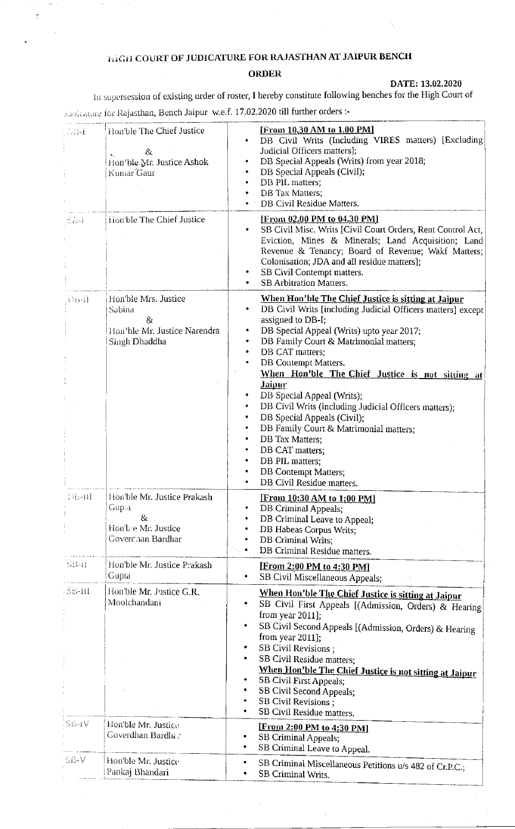# **HIGH COURT OF JUDICATURE FOR RAJASTHAN AT JAIPUR BENCH**

## **ORDER**

#### DATE: 13.02.2020

In supersession of existing order of roster, I hereby constitute following benches for the High Court of Junicature for Rajasthan, Bench Jaipur w.e.f. 17.02.2020 till further orders :-

Hon'ble The Chief Justice [From 10.30 AM to 1.00 PM]  $D34$ DB Civil Writs (Including VIRES matters) [Excluding Judicial Officers matters];  $8\epsilon$ DB Special Appeals (Writs) from year 2018; Hon'ble Mr. Justice Ashok DB Special Appeals (Civil); Kumar Gaur DB PIL matters; DB Tax Matters; DB Civil Residue Matters. [From 02.00 PM to 04.30 PM] Hon'ble The Chief Justice  $\leq 13-1$ SB Civil Misc. Writs [Civil Court Orders, Rent Control Act. Eviction, Mines & Minerals; Land Acquisition; Land Revenue & Tenancy; Board of Revenue; Wakf Matters; Colonisation; JDA and all residue matters]; SB Civil Contempt matters. **SB** Arbitration Matters. Hon'ble Mrs. Justice When Hon'ble The Chief Justice is sitting at Jaipur  $D5-11$ DB Civil Writs [including Judicial Officers matters] except Sabina  $\bullet$ assigned to DB-I;  $\mathcal{R}_Y$ Hon'ble Mr. Justice Narendra DB Special Appeal (Writs) upto year 2017; Singh Dhaddha DB Family Court & Matrimonial matters; DB CAT matters: DB Contempt Matters. When Hon'ble The Chief Justice is not sitting at Jaipur DB Special Appeal (Writs); DB Civil Writs (including Judicial Officers matters); DB Special Appeals (Civil); DB Family Court & Matrimonial matters: DB Tax Matters; DB CAT matters: DB PIL matters;  $\bullet$ **DB** Contempt Matters; DB Civil Residue matters. Hon'ble Mr. Justice Prakash **DEATH** [From 10:30 AM to 1:00 PM] Gup:a DB Criminal Appeals;  $\mathcal{R}$ DB Criminal Leave to Appeal; Hon'ble Mr. Justice  $\bullet$ DB Habeas Corpus Writs: Goverdhan Bardhar DB Criminal Writs:  $\bullet$ DB Criminal Residue matters.  $SB-11$ Hon'ble Mr. Justice Prakash [From 2:00 PM to 4:30 PM] Gupta  $\bullet$ SB Civil Miscellaneous Appeals; Hon'ble Mr. Justice G.R. SB-III When Hon'ble The Chief Justice is sitting at Jaipur Moolchandani SB Civil First Appeals [(Admission, Orders) & Hearing from year  $2011$ ]; SB Civil Second Appeals [(Admission, Orders) & Hearing from year  $2011$ : SB Civil Revisions : SB Civil Residue matters; When Hon'ble The Chief Justice is not sitting at Jaipur **SB Civil First Appeals;**  $\bullet$  $\bullet$ SB Civil Second Appeals: SB Civil Revisions ; SB Civil Residue matters.  $\bullet$ **SB-1V** Hon'ble Mr. Justice [From 2:00 PM to 4:30 PM] Goverdhan Bardhar  $\bullet$ SB Criminal Appeals; SB Criminal Leave to Appeal.  $\bullet$ SB-V Hon'ble Mr. Justice SB Criminal Miscellaneous Petitions u/s 482 of Cr.P.C.;  $\bullet$ Pankaj Bhandari  $\bullet$ **SB Criminal Writs.**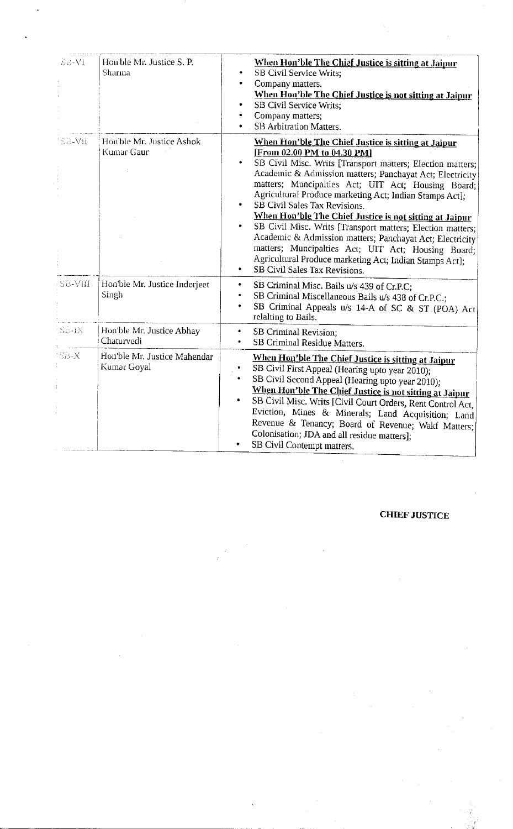| $Sc-V1$     | Hon'ble Mr. Justice S. P.<br>Sharma         | When Hon'ble The Chief Justice is sitting at Jaipur<br><b>SB Civil Service Writs;</b><br>Company matters.<br>When Hon'ble The Chief Justice is not sitting at Jaipur<br><b>SB Civil Service Writs;</b><br>Company matters;<br><b>SB Arbitration Matters.</b>                                                                                                                                                                                                                                                                                                                                                                                                                                                    |
|-------------|---------------------------------------------|-----------------------------------------------------------------------------------------------------------------------------------------------------------------------------------------------------------------------------------------------------------------------------------------------------------------------------------------------------------------------------------------------------------------------------------------------------------------------------------------------------------------------------------------------------------------------------------------------------------------------------------------------------------------------------------------------------------------|
| 1SB-VII     | Hon'ble Mr. Justice Ashok<br>Kumar Gaur     | When Hon'ble The Chief Justice is sitting at Jaipur<br>[From 02.00 PM to 04.30 PM]<br>SB Civil Misc. Writs [Transport matters; Election matters;<br>Academic & Admission matters; Panchayat Act; Electricity<br>matters; Muncipalties Act; UIT Act; Housing Board;<br>Agricultural Produce marketing Act; Indian Stamps Act];<br>SB Civil Sales Tax Revisions.<br>When Hon'ble The Chief Justice is not sitting at Jaipur<br>SB Civil Misc. Writs [Transport matters; Election matters;<br>٠<br>Academic & Admission matters; Panchayat Act; Electricity<br>matters; Muncipalties Act; UIT Act; Housing Board;<br>Agricultural Produce marketing Act; Indian Stamps Act];<br>SB Civil Sales Tax Revisions.<br>۰ |
| SB-VIII     | Hon'ble Mr. Justice Inderjeet<br>Singh      | SB Criminal Misc. Bails u/s 439 of Cr.P.C;<br>۰<br>SB Criminal Miscellaneous Bails u/s 438 of Cr.P.C.;<br>٠<br>SB Criminal Appeals u/s 14-A of SC & ST (POA) Act<br>$\bullet$<br>relalting to Bails.                                                                                                                                                                                                                                                                                                                                                                                                                                                                                                            |
| $S5 - 1X$   | Hon'ble Mr. Justice Abhay<br>Chaturvedi     | SB Criminal Revision;<br>$\bullet$<br>SB Criminal Residue Matters.<br>$\bullet$                                                                                                                                                                                                                                                                                                                                                                                                                                                                                                                                                                                                                                 |
| <b>SB-X</b> | Hon'ble Mr. Justice Mahendar<br>Kumar Goyal | When Hon'ble The Chief Justice is sitting at Jaipur<br>SB Civil First Appeal (Hearing upto year 2010);<br>SB Civil Second Appeal (Hearing upto year 2010);<br>When Hon'ble The Chief Justice is not sitting at Jaipur<br>SB Civil Misc. Writs [Civil Court Orders, Rent Control Act,<br>Eviction, Mines & Minerals; Land Acquisition; Land<br>Revenue & Tenancy; Board of Revenue; Wakf Matters;<br>Colonisation; JDA and all residue matters];<br>SB Civil Contempt matters.<br>٠                                                                                                                                                                                                                              |

**CHIEF JUSTICE**